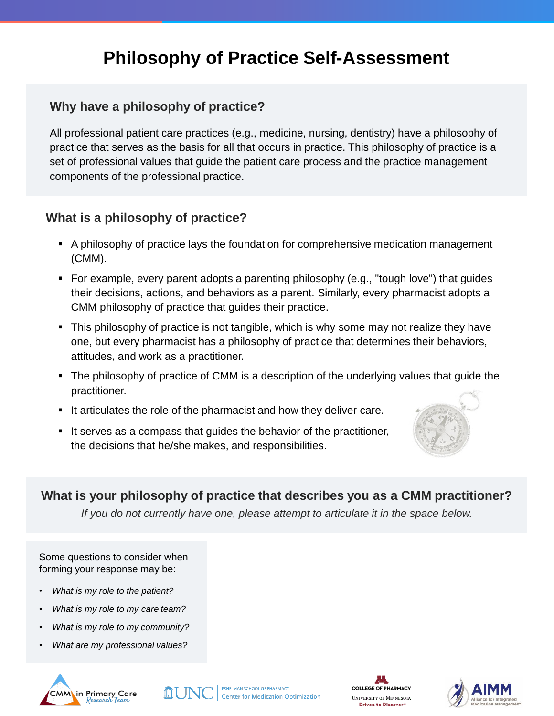# **Philosophy of Practice Self-Assessment**

### **Why have a philosophy of practice?**

All professional patient care practices (e.g., medicine, nursing, dentistry) have a philosophy of practice that serves as the basis for all that occurs in practice. This philosophy of practice is a set of professional values that guide the patient care process and the practice management components of the professional practice.

#### **What is a philosophy of practice?**

- A philosophy of practice lays the foundation for comprehensive medication management (CMM).
- For example, every parent adopts a parenting philosophy (e.g., "tough love") that guides their decisions, actions, and behaviors as a parent. Similarly, every pharmacist adopts a CMM philosophy of practice that guides their practice.
- This philosophy of practice is not tangible, which is why some may not realize they have one, but every pharmacist has a philosophy of practice that determines their behaviors, attitudes, and work as a practitioner.
- The philosophy of practice of CMM is a description of the underlying values that guide the practitioner.
- It articulates the role of the pharmacist and how they deliver care.
- It serves as a compass that guides the behavior of the practitioner, the decisions that he/she makes, and responsibilities.



## **What is your philosophy of practice that describes you as a CMM practitioner?**

*If you do not currently have one, please attempt to articulate it in the space below.*

Some questions to consider when forming your response may be:

- *What is my role to the patient?*
- *What is my role to my care team?*
- *What is my role to my community?*
- *What are my professional values?*







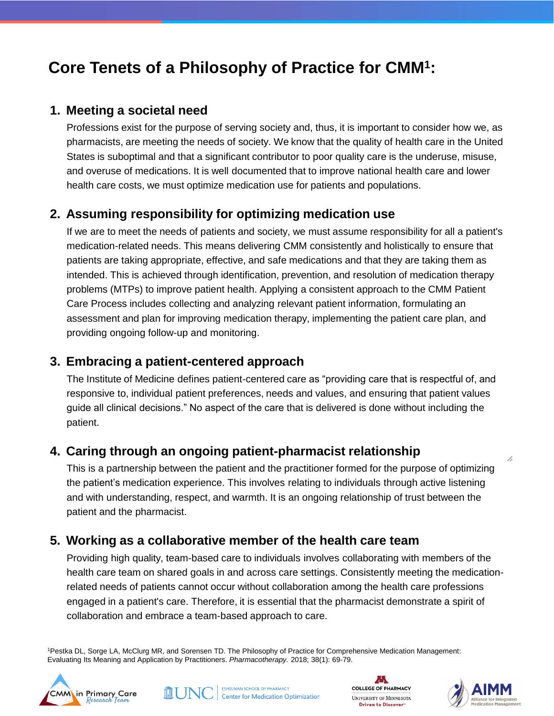## **Core Tenets of a Philosophy of Practice for CMM1:**

#### **1. Meeting a societal need**

Professions exist for the purpose of serving society and, thus, it is important to consider how we, as pharmacists, are meeting the needs of society. We know that the quality of health care in the United States is suboptimal and that a significant contributor to poor quality care is the underuse, misuse, and overuse of medications. It is well documented that to improve national health care and lower health care costs, we must optimize medication use for patients and populations.

## **2. Assuming responsibility for optimizing medication use**

If we are to meet the needs of patients and society, we must assume responsibility for all a patient's medication-related needs. This means delivering CMM consistently and holistically to ensure that patients are taking appropriate, effective, and safe medications and that they are taking them as intended. This is achieved through identification, prevention, and resolution of medication therapy problems (MTPs) to improve patient health. Applying a consistent approach to the CMM Patient Care Process includes collecting and analyzing relevant patient information, formulating an assessment and plan for improving medication therapy, implementing the patient care plan, and providing ongoing follow-up and monitoring.

## **3. Embracing a patient-centered approach**

The Institute of Medicine defines patient-centered care as "providing care that is respectful of, and responsive to, individual patient preferences, needs and values, and ensuring that patient values guide all clinical decisions." No aspect of the care that is delivered is done without including the patient.

## **4. Caring through an ongoing patient-pharmacist relationship**

This is a partnership between the patient and the practitioner formed for the purpose of optimizing the patient's medication experience. This involves relating to individuals through active listening and with understanding, respect, and warmth. It is an ongoing relationship of trust between the patient and the pharmacist.

## **5. Working as a collaborative member of the health care team**

Providing high quality, team-based care to individuals involves collaborating with members of the health care team on shared goals in and across care settings. Consistently meeting the medicationrelated needs of patients cannot occur without collaboration among the health care professions engaged in a patient's care. Therefore, it is essential that the pharmacist demonstrate a spirit of collaboration and embrace a team-based approach to care.

1Pestka DL, Sorge LA, McClurg MR, and Sorensen TD. The Philosophy of Practice for Comprehensive Medication Management: Evaluating Its Meaning and Application by Practitioners. *Pharmacotherapy.* 2018; 38(1): 69-79.









1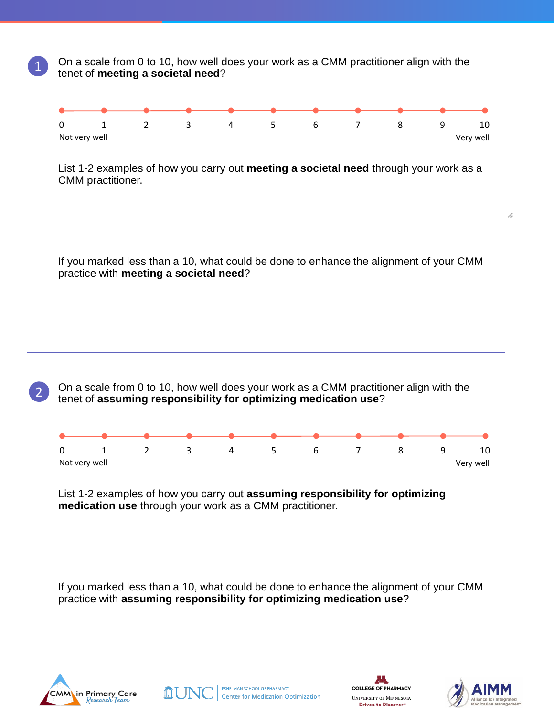On a scale from 0 to 10, how well does your work as a CMM practitioner align with the tenet of **meeting a societal need**?



List 1-2 examples of how you carry out **meeting a societal need** through your work as a CMM practitioner.

If you marked less than a 10, what could be done to enhance the alignment of your CMM practice with **meeting a societal need**?

On a scale from 0 to 10, how well does your work as a CMM practitioner align with the tenet of **assuming responsibility for optimizing medication use**?



List 1-2 examples of how you carry out **assuming responsibility for optimizing medication use** through your work as a CMM practitioner.

If you marked less than a 10, what could be done to enhance the alignment of your CMM practice with **assuming responsibility for optimizing medication use**?



1

2







7,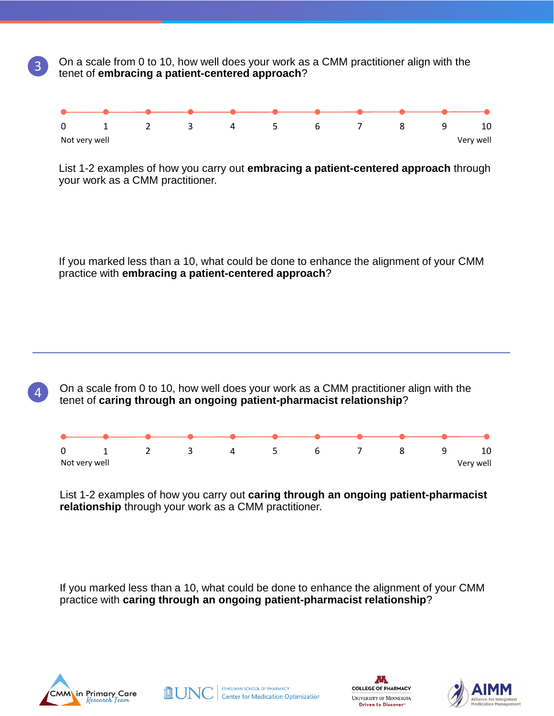On a scale from 0 to 10, how well does your work as a CMM practitioner align with the tenet of **embracing a patient-centered approach**?



List 1-2 examples of how you carry out **embracing a patient-centered approach** through your work as a CMM practitioner.

If you marked less than a 10, what could be done to enhance the alignment of your CMM practice with **embracing a patient-centered approach**?

On a scale from 0 to 10, how well does your work as a CMM practitioner align with the tenet of **caring through an ongoing patient-pharmacist relationship**?



List 1-2 examples of how you carry out **caring through an ongoing patient-pharmacist relationship** through your work as a CMM practitioner.

If you marked less than a 10, what could be done to enhance the alignment of your CMM practice with **caring through an ongoing patient-pharmacist relationship**?



3

4